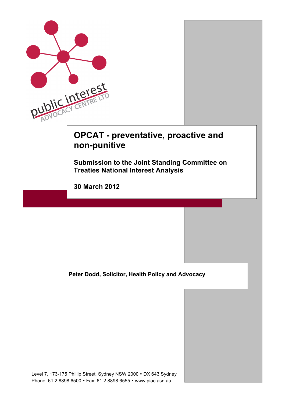| PUblic interest                                                                                                    |  |  |  |  |  |
|--------------------------------------------------------------------------------------------------------------------|--|--|--|--|--|
| <b>OPCAT - preventative, proactive and</b><br>non-punitive<br><b>Submission to the Joint Standing Committee on</b> |  |  |  |  |  |
| <b>Treaties National Interest Analysis</b><br><b>30 March 2012</b>                                                 |  |  |  |  |  |
|                                                                                                                    |  |  |  |  |  |
| Peter Dodd, Solicitor, Health Policy and Advocacy                                                                  |  |  |  |  |  |
|                                                                                                                    |  |  |  |  |  |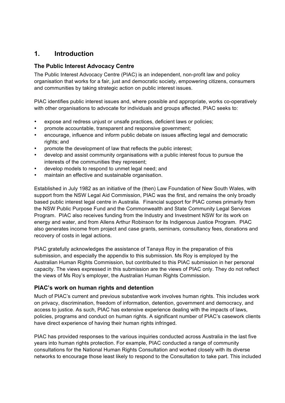## **1. Introduction**

#### **The Public Interest Advocacy Centre**

The Public Interest Advocacy Centre (PIAC) is an independent, non-profit law and policy organisation that works for a fair, just and democratic society, empowering citizens, consumers and communities by taking strategic action on public interest issues.

PIAC identifies public interest issues and, where possible and appropriate, works co-operatively with other organisations to advocate for individuals and groups affected. PIAC seeks to:

- expose and redress unjust or unsafe practices, deficient laws or policies;
- promote accountable, transparent and responsive government;
- encourage, influence and inform public debate on issues affecting legal and democratic rights; and
- promote the development of law that reflects the public interest;
- develop and assist community organisations with a public interest focus to pursue the interests of the communities they represent;
- develop models to respond to unmet legal need; and
- maintain an effective and sustainable organisation.

Established in July 1982 as an initiative of the (then) Law Foundation of New South Wales, with support from the NSW Legal Aid Commission, PIAC was the first, and remains the only broadly based public interest legal centre in Australia. Financial support for PIAC comes primarily from the NSW Public Purpose Fund and the Commonwealth and State Community Legal Services Program. PIAC also receives funding from the Industry and Investment NSW for its work on energy and water, and from Allens Arthur Robinson for its Indigenous Justice Program. PIAC also generates income from project and case grants, seminars, consultancy fees, donations and recovery of costs in legal actions.

PIAC gratefully acknowledges the assistance of Tanaya Roy in the preparation of this submission, and especially the appendix to this submission. Ms Roy is employed by the Australian Human Rights Commission, but contributed to this PIAC submission in her personal capacity. The views expressed in this submission are the views of PIAC only. They do not reflect the views of Ms Roy's employer, the Australian Human Rights Commission.

#### **PIAC's work on human rights and detention**

Much of PIAC's current and previous substantive work involves human rights. This includes work on privacy, discrimination, freedom of information, detention, government and democracy, and access to justice. As such, PIAC has extensive experience dealing with the impacts of laws, policies, programs and conduct on human rights. A significant number of PIAC's casework clients have direct experience of having their human rights infringed.

PIAC has provided responses to the various inquiries conducted across Australia in the last five years into human rights protection. For example, PIAC conducted a range of community consultations for the National Human Rights Consultation and worked closely with its diverse networks to encourage those least likely to respond to the Consultation to take part. This included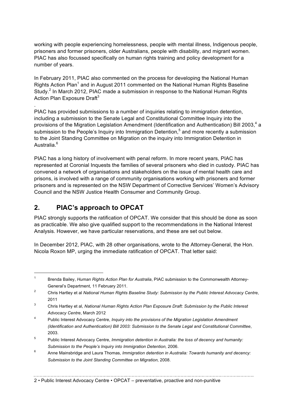working with people experiencing homelessness, people with mental illness, Indigenous people, prisoners and former prisoners, older Australians, people with disability, and migrant women. PIAC has also focussed specifically on human rights training and policy development for a number of years.

In February 2011, PIAC also commented on the process for developing the National Human Rights Action Plan<sup>1</sup> and in August 2011 commented on the National Human Rights Baseline Study.<sup>2</sup> In March 2012, PIAC made a submission in response to the National Human Rights Action Plan Exposure Draft $3$ 

PIAC has provided submissions to a number of inquiries relating to immigration detention, including a submission to the Senate Legal and Constitutional Committee Inquiry into the provisions of the Migration Legislation Amendment (Identification and Authentication) Bill 2003,<sup>4</sup> a submission to the People's Inquiry into Immigration Detention,<sup>5</sup> and more recently a submission to the Joint Standing Committee on Migration on the inquiry into Immigration Detention in Australia<sup>6</sup>

PIAC has a long history of involvement with penal reform. In more recent years, PIAC has represented at Coronial Inquests the families of several prisoners who died in custody. PIAC has convened a network of organisations and stakeholders on the issue of mental health care and prisons, is involved with a range of community organisations working with prisoners and former prisoners and is represented on the NSW Department of Corrective Services' Women's Advisory Council and the NSW Justice Health Consumer and Community Group.

## **2. PIAC's approach to OPCAT**

.

PIAC strongly supports the ratification of OPCAT. We consider that this should be done as soon as practicable. We also give qualified support to the recommendations in the National Interest Analysis. However, we have particular reservations, and these are set out below.

In December 2012, PIAC, with 28 other organisations, wrote to the Attorney-General, the Hon. Nicola Roxon MP, urging the immediate ratification of OPCAT. That letter said:

 <sup>1</sup> Brenda Bailey, *Human Rights Action Plan for Australia*, PIAC submission to the Commonwealth Attorney-General's Department, 11 February 2011.

<sup>2</sup> Chris Hartley et al *National Human Rights Baseline Study: Submission by the Public Interest Advocacy Centre*, 2011

<sup>3</sup> Chris Hartley et al, *National Human Rights Action Plan Exposure Draft: Submission by the Public Interest Advocacy Centre*, March 2012

<sup>4</sup> Public Interest Advocacy Centre, *Inquiry into the provisions of the Migration Legislation Amendment (Identification and Authentication) Bill 2003: Submission to the Senate Legal and Constitutional Committee*, 2003.

<sup>5</sup> Public Interest Advocacy Centre, *Immigration detention in Australia: the loss of decency and humanity: Submission to the People's Inquiry into Immigration Detention,* 2006.

<sup>6</sup> Anne Mainsbridge and Laura Thomas, *Immigration detention in Australia: Towards humanity and decency: Submission to the Joint Standing Committee on Migration*, 2008.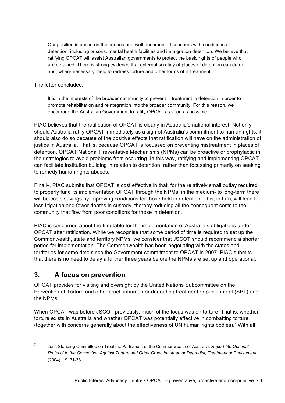Our position is based on the serious and well-documented concerns with conditions of detention, including prisons, mental health facilities and immigration detention. We believe that ratifying OPCAT will assist Australian governments to protect the basic rights of people who are detained. There is strong evidence that external scrutiny of places of detention can deter and, where necessary, help to redress torture and other forms of ill treatment.

The letter concluded:

It is in the interests of the broader community to prevent ill treatment in detention in order to promote rehabilitation and reintegration into the broader community. For this reason, we encourage the Australian Government to ratify OPCAT as soon as possible.

PIAC believes that the ratification of OPCAT is clearly in Australia's national interest. Not only should Australia ratify OPCAT immediately as a sign of Australia's commitment to human rights, it should also do so because of the positive effects that ratification will have on the administration of justice in Australia. That is, because OPCAT is focussed on preventing mistreatment in places of detention, OPCAT National Preventative Mechanisms (NPMs) can be proactive or prophylactic in their strategies to avoid problems from occurring. In this way, ratifying and implementing OPCAT can facilitate institution building in relation to detention, rather than focussing primarily on seeking to remedy human rights abuses.

Finally, PIAC submits that OPCAT is cost effective in that, for the relatively small outlay required to properly fund its implementation OPCAT through the NPMs, in the medium- to long-term there will be costs savings by improving conditions for those held in detention. This, in turn, will lead to less litigation and fewer deaths in custody, thereby reducing all the consequent costs to the community that flow from poor conditions for those in detention.

PIAC is concerned about the timetable for the implementation of Australia's obligations under OPCAT after ratification. While we recognise that some period of time is required to set up the Commonwealth, state and territory NPMs, we consider that JSCOT should recommend a shorter period for implementation. The Commonwealth has been negotiating with the states and territories for some time since the Government commitment to OPCAT in 2007. PIAC submits that there is no need to delay a further three years before the NPMs are set up and operational.

## **3. A focus on prevention**

OPCAT provides for visiting and oversight by the United Nations Subcommittee on the Prevention of Torture and other cruel, inhuman or degrading treatment or punishment (SPT) and the NPMs.

When OPCAT was before JSCOT previously, much of the focus was on torture. That is, whether torture exists in Australia and whether OPCAT was potentially effective in combatting torture (together with concerns generally about the effectiveness of UN human rights bodies).<sup>7</sup> With all

 <sup>7</sup> Joint Standing Committee on Treaties, Parliament of the Commonwealth of Australia, *Report 58: Optional Protocol to the Convention Against Torture and Other Cruel, Inhuman or Degrading Treatment or Punishment* (2004), 19, 31-33.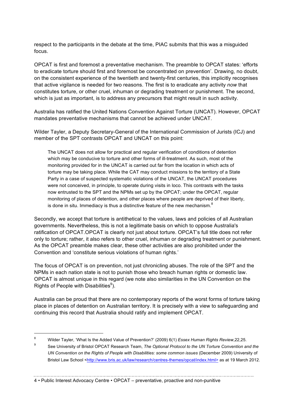respect to the participants in the debate at the time, PIAC submits that this was a misguided focus.

OPCAT is first and foremost a preventative mechanism. The preamble to OPCAT states: 'efforts to eradicate torture should first and foremost be concentrated on prevention'. Drawing, no doubt, on the consistent experience of the twentieth and twenty-first centuries, this implicitly recognises that active vigilance is needed for two reasons. The first is to eradicate any activity *now* that constitutes torture, or other cruel, inhuman or degrading treatment or punishment. The second, which is just as important, is to address any precursors that might result in such activity.

Australia has ratified the United Nations Convention Against Torture (UNCAT). However, OPCAT mandates preventative mechanisms that cannot be achieved under UNCAT.

Wilder Tayler, a Deputy Secretary-General of the International Commission of Jurists (ICJ) and member of the SPT contrasts OPCAT and UNCAT on this point:

The UNCAT does not allow for practical and regular verification of conditions of detention which may be conducive to torture and other forms of ill-treatment. As such, most of the monitoring provided for in the UNCAT is carried out far from the location in which acts of torture may be taking place. While the CAT may conduct missions to the territory of a State Party in a case of suspected systematic violations of the UNCAT, the UNCAT procedures were not conceived, in principle, to operate during visits in loco. This contrasts with the tasks now entrusted to the SPT and the NPMs set up by the OPCAT; under the OPCAT, regular monitoring of places of detention, and other places where people are deprived of their liberty, is done in situ. Immediacy is thus a distinctive feature of the new mechanism. $8<sup>8</sup>$ 

Secondly, we accept that torture is antithetical to the values, laws and policies of all Australian governments. Nevertheless, this is not a legitimate basis on which to oppose Australia's ratification of OPCAT.OPCAT is clearly not just about torture. OPCAT's full title does not refer only to torture; rather, it also refers to other cruel, inhuman or degrading treatment or punishment. As the OPCAT preamble makes clear, these other activities are also prohibited under the Convention and 'constitute serious violations of human rights.'

The focus of OPCAT is on prevention, not just chronicling abuses. The role of the SPT and the NPMs in each nation state is not to punish those who breach human rights or domestic law. OPCAT is almost unique in this regard (we note also similarities in the UN Convention on the Rights of People with Disabilities $9$ ).

Australia can be proud that there are no contemporary reports of the worst forms of torture taking place in places of detention on Australian territory. It is precisely with a view to safeguarding and continuing this record that Australia should ratify and implement OPCAT.

<sup>8</sup> Wilder Tayler, 'What Is the Added Value of Prevention?' (2009) 6(1) *Essex Human Rights Review*, 22, 25.

<sup>9</sup> See University of Bristol OPCAT Research Team, *The Optional Protocol to the UN Torture Convention and the UN Convention on the Rights of People with Disabilities: some common issues* (December 2009) University of Bristol Law School <http://www.bris.ac.uk/law/research/centres-themes/opcat/index.html> as at 19 March 2012.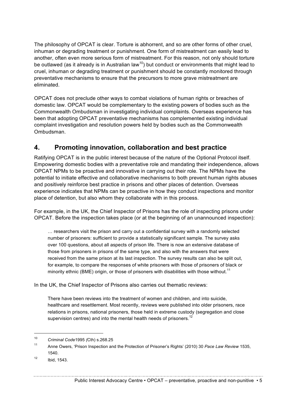The philosophy of OPCAT is clear. Torture is abhorrent, and so are other forms of other cruel, inhuman or degrading treatment or punishment. One form of mistreatment can easily lead to another, often even more serious form of mistreatment. For this reason, not only should torture be outlawed (as it already is in Australian law<sup>10</sup>) but conduct or environments that might lead to cruel, inhuman or degrading treatment or punishment should be constantly monitored through preventative mechanisms to ensure that the precursors to more grave mistreatment are eliminated.

OPCAT does not preclude other ways to combat violations of human rights or breaches of domestic law. OPCAT would be complementary to the existing powers of bodies such as the Commonwealth Ombudsman in investigating individual complaints. Overseas experience has been that adopting OPCAT preventative mechanisms has complemented existing individual complaint investigation and resolution powers held by bodies such as the Commonwealth Ombudsman.

## **4. Promoting innovation, collaboration and best practice**

Ratifying OPCAT is in the public interest because of the nature of the Optional Protocol itself. Empowering domestic bodies with a preventative role and mandating their independence, allows OPCAT NPMs to be proactive and innovative in carrying out their role. The NPMs have the potential to initiate effective and collaborative mechanisms to both prevent human rights abuses and positively reinforce best practice in prisons and other places of detention. Overseas experience indicates that NPMs can be proactive in how they conduct inspections and monitor place of detention, but also whom they collaborate with in this process.

For example, in the UK, the Chief Inspector of Prisons has the role of inspecting prisons under OPCAT. Before the inspection takes place (or at the beginning of an unannounced inspection):

… researchers visit the prison and carry out a confidential survey with a randomly selected number of prisoners: sufficient to provide a statistically significant sample. The survey asks over 100 questions, about all aspects of prison life. There is now an extensive database of those from prisoners in prisons of the same type, and also with the answers that were received from the same prison at its last inspection. The survey results can also be split out, for example, to compare the responses of white prisoners with those of prisoners of black or minority ethnic (BME) origin, or those of prisoners with disabilities with those without.<sup>11</sup>

In the UK, the Chief Inspector of Prisons also carries out thematic reviews:

There have been reviews into the treatment of women and children, and into suicide, healthcare and resettlement. Most recently, reviews were published into older prisoners, race relations in prisons, national prisoners, those held in extreme custody (segregation and close supervision centres) and into the mental health needs of prisoners.<sup>12</sup>

 <sup>10</sup> *Criminal Code*<sup>1995</sup> *(*Cth) s.268.25

<sup>11</sup> Anne Owers, 'Prison Inspection and the Protection of Prisoner's Rights' (2010) 30 *Pace Law Review* 1535, 1540.

<sup>12</sup> Ibid, 1543.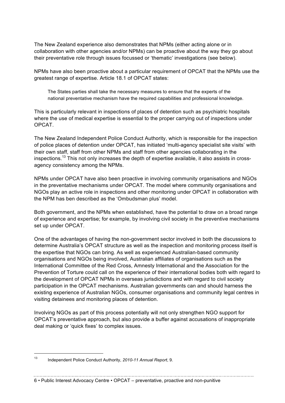The New Zealand experience also demonstrates that NPMs (either acting alone or in collaboration with other agencies and/or NPMs) can be proactive about the way they go about their preventative role through issues focussed or 'thematic' investigations (see below).

NPMs have also been proactive about a particular requirement of OPCAT that the NPMs use the greatest range of expertise. Article 18.1 of OPCAT states:

The States parties shall take the necessary measures to ensure that the experts of the national preventative mechanism have the required capabilities and professional knowledge.

This is particularly relevant in inspections of places of detention such as psychiatric hospitals where the use of medical expertise is essential to the proper carrying out of inspections under OPCAT.

The New Zealand Independent Police Conduct Authority, which is responsible for the inspection of police places of detention under OPCAT, has initiated 'multi-agency specialist site visits' with their own staff, staff from other NPMs and staff from other agencies collaborating in the inspections.<sup>13</sup> This not only increases the depth of expertise available, it also assists in crossagency consistency among the NPMs.

NPMs under OPCAT have also been proactive in involving community organisations and NGOs in the preventative mechanisms under OPCAT. The model where community organisations and NGOs play an active role in inspections and other monitoring under OPCAT in collaboration with the NPM has ben described as the 'Ombudsman plus' model.

Both government, and the NPMs when established, have the potential to draw on a broad range of experience and expertise; for example, by involving civil society in the preventive mechanisms set up under OPCAT.

One of the advantages of having the non-government sector involved in both the discussions to determine Australia's OPCAT structure as well as the inspection and monitoring process itself is the expertise that NGOs can bring. As well as experienced Australian-based community organisations and NGOs being involved, Australian affiliates of organisations such as the International Committee of the Red Cross, Amnesty International and the Association for the Prevention of Torture could call on the experience of their international bodies both with regard to the development of OPCAT NPMs in overseas jurisdictions and with regard to civil society participation in the OPCAT mechanisms. Australian governments can and should harness the existing experience of Australian NGOs, consumer organisations and community legal centres in visiting detainees and monitoring places of detention.

Involving NGOs as part of this process potentially will not only strengthen NGO support for OPCAT's preventative approach, but also provide a buffer against accusations of inappropriate deal making or 'quick fixes' to complex issues.

 <sup>13</sup> Independent Police Conduct Authority, *2010-11 Annual Report*, 9.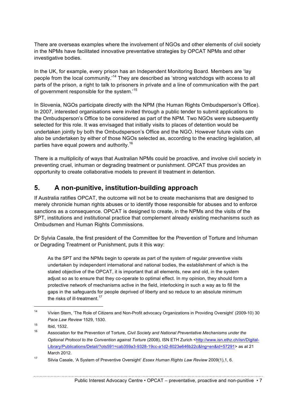There are overseas examples where the involvement of NGOs and other elements of civil society in the NPMs have facilitated innovative preventative strategies by OPCAT NPMs and other investigative bodies.

In the UK, for example, every prison has an Independent Monitoring Board. Members are 'lay people from the local community.<sup>14</sup> They are described as 'strong watchdogs with access to all parts of the prison, a right to talk to prisoners in private and a line of communication with the part of government responsible for the system.'<sup>15</sup>

In Slovenia, NGOs participate directly with the NPM (the Human Rights Ombudsperson's Office). In 2007, interested organisations were invited through a public tender to submit applications to the Ombudsperson's Office to be considered as part of the NPM. Two NGOs were subsequently selected for this role. It was envisaged that initially visits to places of detention would be undertaken jointly by both the Ombudsperson's Office and the NGO. However future visits can also be undertaken by either of those NGOs selected as, according to the enacting legislation, all parties have equal powers and authority.<sup>16</sup>

There is a multiplicity of ways that Australian NPMs could be proactive, and involve civil society in preventing cruel, inhuman or degrading treatment or punishment. OPCAT thus provides an opportunity to create collaborative models to prevent ill treatment in detention.

## **5. A non-punitive, institution-building approach**

If Australia ratifies OPCAT, the outcome will not be to create mechanisms that are designed to merely chronicle human rights abuses or to identify those responsible for abuses and to enforce sanctions as a consequence. OPCAT is designed to create, in the NPMs and the visits of the SPT, institutions and institutional practice that complement already existing mechanisms such as Ombudsmen and Human Rights Commissions.

Dr Sylvia Casale, the first president of the Committee for the Prevention of Torture and Inhuman or Degrading Treatment or Punishment, puts it this way:

As the SPT and the NPMs begin to operate as part of the system of regular preventive visits undertaken by independent international and national bodies, the establishment of which is the stated objective of the OPCAT, it is important that all elements, new and old, in the system adjust so as to ensure that they co-operate to optimal effect. In my opinion, they should form a protective network of mechanisms active in the field, interlocking in such a way as to fill the gaps in the safeguards for people deprived of liberty and so reduce to an absolute minimum the risks of ill-treatment  $17$ 

 <sup>14</sup> Vivien Stern, 'The Role of Citizens and Non-Profit advocacy Organizations in Providing Oversight' (2009-10) 30 *Pace Law Review* 1529, 1530.

 $15$  Ibid, 1532.

<sup>16</sup> Association for the Prevention of Torture, *Civil Society and National Preventative Mechanisms under the Optional Protocol to the Convention against Torture* (2008), ISN ETH Zurich <http://www.isn.ethz.ch/isn/Digital-Library/Publications/Detail/?ots591=cab359a3-9328-19cc-a1d2-8023e646b22c&lng=en&id=57291> as at 21 March 2012.

<sup>17</sup> Silvia Casale, 'A System of Preventive Oversight' *Essex Human Rights Law Review* 2009(1),1, 6.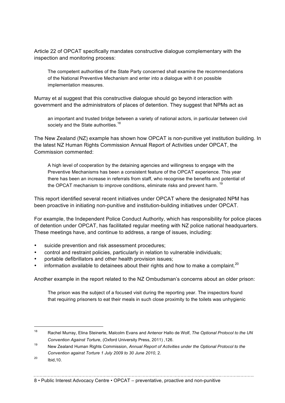Article 22 of OPCAT specifically mandates constructive dialogue complementary with the inspection and monitoring process:

The competent authorities of the State Party concerned shall examine the recommendations of the National Preventive Mechanism and enter into a dialogue with it on possible implementation measures.

Murray et al suggest that this constructive dialogue should go beyond interaction with government and the administrators of places of detention. They suggest that NPMs act as

an important and trusted bridge between a variety of national actors, in particular between civil society and the State authorities.<sup>18</sup>

The New Zealand (NZ) example has shown how OPCAT is non-punitive yet institution building. In the latest NZ Human Rights Commission Annual Report of Activities under OPCAT, the Commission commented:

A high level of cooperation by the detaining agencies and willingness to engage with the Preventive Mechanisms has been a consistent feature of the OPCAT experience. This year there has been an increase in referrals from staff, who recognise the benefits and potential of the OPCAT mechanism to improve conditions, eliminate risks and prevent harm.<sup>19</sup>

This report identified several recent initiatives under OPCAT where the designated NPM has been proactive in initiating non-punitive and institution-building initiatives under OPCAT.

For example, the Independent Police Conduct Authority, which has responsibility for police places of detention under OPCAT, has facilitated regular meeting with NZ police national headquarters. These meetings have, and continue to address, a range of issues, including:

- suicide prevention and risk assessment procedures;
- control and restraint policies, particularly in relation to vulnerable individuals;
- portable defibrillators and other health provision issues;
- information available to detainees about their rights and how to make a complaint.<sup>20</sup>

Another example in the report related to the NZ Ombudsman's concerns about an older prison:

The prison was the subject of a focused visit during the reporting year. The inspectors found that requiring prisoners to eat their meals in such close proximity to the toilets was unhygienic

 <sup>18</sup> Rachel Murray, Elina Steinerte, Malcolm Evans and Antenor Hallo de Wolf, *The Optional Protocol to the UN Convention Against Torture*, (Oxford University Press, 2011) ,126.

<sup>19</sup> New Zealand Human Rights Commission, *Annual Report of Activities under the Optional Protocol to the Convention against Torture 1 July 2009 to 30 June 2010*, 2.

 $^{20}$  Ibid, 10.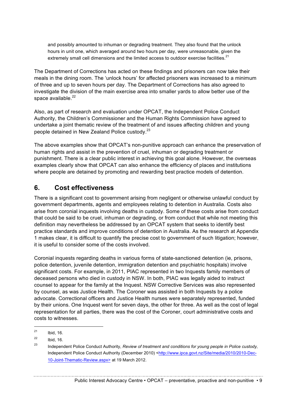and possibly amounted to inhuman or degrading treatment. They also found that the unlock hours in unit one, which averaged around two hours per day, were unreasonable, given the extremely small cell dimensions and the limited access to outdoor exercise facilities.<sup>21</sup>

The Department of Corrections has acted on these findings and prisoners can now take their meals in the dining room. The 'unlock hours' for affected prisoners was increased to a minimum of three and up to seven hours per day. The Department of Corrections has also agreed to investigate the division of the main exercise area into smaller yards to allow better use of the space available. $22$ 

Also, as part of research and evaluation under OPCAT, the Independent Police Conduct Authority, the Children's Commissioner and the Human Rights Commission have agreed to undertake a joint thematic review of the treatment of and issues affecting children and young people detained in New Zealand Police custody.<sup>23</sup>

The above examples show that OPCAT's non-punitive approach can enhance the preservation of human rights and assist in the prevention of cruel, inhuman or degrading treatment or punishment. There is a clear public interest in achieving this goal alone. However, the overseas examples clearly show that OPCAT can also enhance the efficiency of places and institutions where people are detained by promoting and rewarding best practice models of detention.

## **6. Cost effectiveness**

There is a significant cost to government arising from negligent or otherwise unlawful conduct by government departments, agents and employees relating to detention in Australia. Costs also arise from coronial inquests involving deaths in custody. Some of these costs arise from conduct that could be said to be cruel, inhuman or degrading, or from conduct that while not meeting this definition may nevertheless be addressed by an OPCAT system that seeks to identify best practice standards and improve conditions of detention in Australia. As the research at Appendix 1 makes clear, it is difficult to quantify the precise cost to government of such litigation; however, it is useful to consider some of the costs involved.

Coronial inquests regarding deaths in various forms of state-sanctioned detention (ie, prisons, police detention, juvenile detention, immigration detention and psychiatric hospitals) involve significant costs. For example, in 2011, PIAC represented in two Inquests family members of deceased persons who died in custody in NSW. In both, PIAC was legally aided to instruct counsel to appear for the family at the Inquest. NSW Corrective Services was also represented by counsel, as was Justice Health. The Coroner was assisted in both Inquests by a police advocate. Correctional officers and Justice Health nurses were separately represented, funded by their unions. One Inquest went for seven days, the other for three. As well as the cost of legal representation for all parties, there was the cost of the Coroner, court administrative costs and costs to witnesses.

 $^{21}$  Ibid, 16.

 $\frac{22}{23}$  Ibid, 16.

<sup>23</sup> Independent Police Conduct Authority, *Review of treatment and conditions for young people in Police custody,*  Independent Police Conduct Authority (December 2010) <http://www.ipca.govt.nz/Site/media/2010/2010-Dec-10-Joint-Thematic-Review.aspx> at 19 March 2012.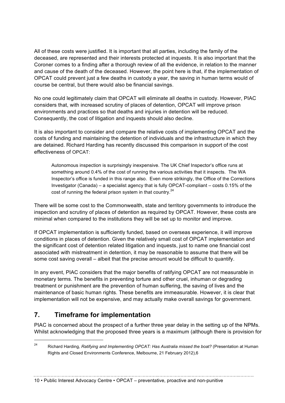All of these costs were justified. It is important that all parties, including the family of the deceased, are represented and their interests protected at inquests. It is also important that the Coroner comes to a finding after a thorough review of all the evidence, in relation to the manner and cause of the death of the deceased. However, the point here is that, if the implementation of OPCAT could prevent just a few deaths in custody a year, the saving in human terms would of course be central, but there would also be financial savings.

No one could legitimately claim that OPCAT will eliminate all deaths in custody. However, PIAC considers that, with increased scrutiny of places of detention, OPCAT will improve prison environments and practices so that deaths and injuries in detention will be reduced. Consequently, the cost of litigation and inquests should also decline.

It is also important to consider and compare the relative costs of implementing OPCAT and the costs of funding and maintaining the detention of individuals and the infrastructure in which they are detained. Richard Harding has recently discussed this comparison in support of the cost effectiveness of OPCAT:

Autonomous inspection is surprisingly inexpensive. The UK Chief Inspector's office runs at something around 0.4% of the cost of running the various activities that it inspects. The WA Inspector's office is funded in this range also. Even more strikingly, the Office of the Corrections Investigator (Canada) – a specialist agency that is fully OPCAT-compliant – costs 0.15% of the cost of running the federal prison system in that country. $24$ 

There will be some cost to the Commonwealth, state and territory governments to introduce the inspection and scrutiny of places of detention as required by OPCAT. However, these costs are minimal when compared to the institutions they will be set up to monitor and improve.

If OPCAT implementation is sufficiently funded, based on overseas experience, it will improve conditions in places of detention. Given the relatively small cost of OPCAT implementation and the significant cost of detention related litigation and inquests, just to name one financial cost associated with mistreatment in detention, it may be reasonable to assume that there will be some cost saving overall – albeit that the precise amount would be difficult to quantify.

In any event, PIAC considers that the major benefits of ratifying OPCAT are not measurable in monetary terms. The benefits in preventing torture and other cruel, inhuman or degrading treatment or punishment are the prevention of human suffering, the saving of lives and the maintenance of basic human rights. These benefits are immeasurable. However, it is clear that implementation will not be expensive, and may actually make overall savings for government.

## **7. Timeframe for implementation**

PIAC is concerned about the prospect of a further three year delay in the setting up of the NPMs. Whilst acknowledging that the proposed three years is a maximum (although there is provision for

10 • Public Interest Advocacy Centre • OPCAT – preventative, proactive and non-punitive

 <sup>24</sup> Richard Harding*, Ratifying and Implementing OPCAT: Has Australia missed the boat?* (Presentation at Human Rights and Closed Environments Conference, Melbourne, 21 February 2012),6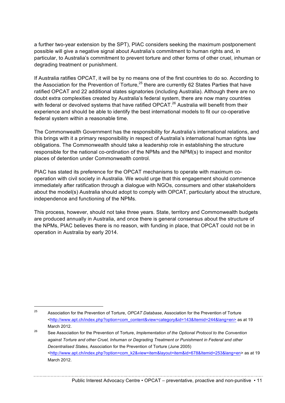a further two-year extension by the SPT), PIAC considers seeking the maximum postponement possible will give a negative signal about Australia's commitment to human rights and, in particular, to Australia's commitment to prevent torture and other forms of other cruel, inhuman or degrading treatment or punishment.

If Australia ratifies OPCAT, it will be by no means one of the first countries to do so. According to the Association for the Prevention of Torture,<sup>25</sup> there are currently 62 States Parties that have ratified OPCAT and 22 additional states signatories (including Australia). Although there are no doubt extra complexities created by Australia's federal system, there are now many countries with federal or devolved systems that have ratified OPCAT. $^{26}$  Australia will benefit from their experience and should be able to identify the best international models to fit our co-operative federal system within a reasonable time.

The Commonwealth Government has the responsibility for Australia's international relations, and this brings with it a primary responsibility in respect of Australia's international human rights law obligations. The Commonwealth should take a leadership role in establishing the structure responsible for the national co-ordination of the NPMs and the NPM(s) to inspect and monitor places of detention under Commonwealth control.

PIAC has stated its preference for the OPCAT mechanisms to operate with maximum cooperation with civil society in Australia. We would urge that this engagement should commence immediately after ratification through a dialogue with NGOs, consumers and other stakeholders about the model(s) Australia should adopt to comply with OPCAT, particularly about the structure, independence and functioning of the NPMs.

This process, however, should not take three years. State, territory and Commonwealth budgets are produced annually in Australia, and once there is general consensus about the structure of the NPMs, PIAC believes there is no reason, with funding in place, that OPCAT could not be in operation in Australia by early 2014.

 <sup>25</sup> Association for the Prevention of Torture, *OPCAT Database*, Association for the Prevention of Torture <http://www.apt.ch/index.php?option=com\_content&view=category&id=143&Itemid=244&lang=en> as at 19 March 2012.

<sup>26</sup> See Association for the Prevention of Torture, *Implementation of the Optional Protocol to the Convention against Torture and other Cruel, Inhuman or Degrading Treatment or Punishment in Federal and other Decentralised States,* Association for the Prevention of Torture (June 2005) <http://www.apt.ch/index.php?option=com\_k2&view=item&layout=item&id=678&Itemid=253&lang=en> as at 19 March 2012.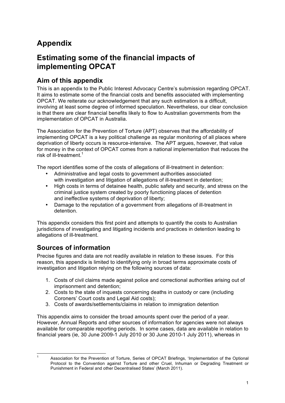# **Appendix**

## **Estimating some of the financial impacts of implementing OPCAT**

## **Aim of this appendix**

This is an appendix to the Public Interest Advocacy Centre's submission regarding OPCAT. It aims to estimate some of the financial costs and benefits associated with implementing OPCAT. We reiterate our acknowledgement that any such estimation is a difficult, involving at least some degree of informed speculation. Nevertheless, our clear conclusion is that there are clear financial benefits likely to flow to Australian governments from the implementation of OPCAT in Australia.

The Association for the Prevention of Torture (APT) observes that the affordability of implementing OPCAT is a key political challenge as regular monitoring of all places where deprivation of liberty occurs is resource-intensive. The APT argues, however, that value for money in the context of OPCAT comes from a national implementation that reduces the risk of ill-treatment.<sup>1</sup>

The report identifies some of the costs of allegations of ill-treatment in detention:

- Administrative and legal costs to government authorities associated with investigation and litigation of allegations of ill-treatment in detention:
- High costs in terms of detainee health, public safety and security, and stress on the criminal justice system created by poorly functioning places of detention and ineffective systems of deprivation of liberty;
- Damage to the reputation of a government from allegations of ill-treatment in detention.

This appendix considers this first point and attempts to quantify the costs to Australian jurisdictions of investigating and litigating incidents and practices in detention leading to allegations of ill-treatment.

## **Sources of information**

Precise figures and data are not readily available in relation to these issues. For this reason, this appendix is limited to identifying only in broad terms approximate costs of investigation and litigation relying on the following sources of data:

- 1. Costs of civil claims made against police and correctional authorities arising out of imprisonment and detention;
- 2. Costs to the state of inquests concerning deaths in custody or care (including Coroners' Court costs and Legal Aid costs);
- 3. Costs of awards/settlements/claims in relation to immigration detention

This appendix aims to consider the broad amounts spent over the period of a year. However, Annual Reports and other sources of information for agencies were not always available for comparable reporting periods. In some cases, data are available in relation to financial years (ie, 30 June 2009-1 July 2010 or 30 June 2010-1 July 2011), whereas in

Association for the Prevention of Torture, Series of OPCAT Briefings, 'Implementation of the Optional Protocol to the Convention against Torture and other Cruel, Inhuman or Degrading Treatment or Punishment in Federal and other Decentralised States' (March 2011).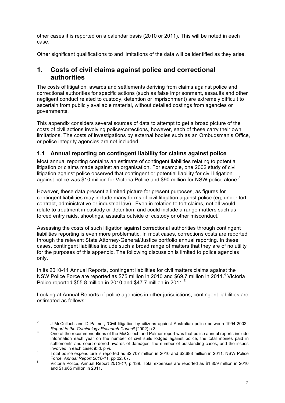other cases it is reported on a calendar basis (2010 or 2011). This will be noted in each case.

Other significant qualifications to and limitations of the data will be identified as they arise.

### **1. Costs of civil claims against police and correctional authorities**

The costs of litigation, awards and settlements deriving from claims against police and correctional authorities for specific actions (such as false imprisonment, assaults and other negligent conduct related to custody, detention or imprisonment) are extremely difficult to ascertain from publicly available material, without detailed costings from agencies or governments.

This appendix considers several sources of data to attempt to get a broad picture of the costs of civil actions involving police/corrections, however, each of these carry their own limitations. The costs of investigations by external bodies such as an Ombudsman's Office, or police integrity agencies are not included.

#### **1.1 Annual reporting on contingent liability for claims against police**

Most annual reporting contains an estimate of contingent liabilities relating to potential litigation or claims made against an organisation. For example, one 2002 study of civil litigation against police observed that contingent or potential liability for civil litigation against police was \$10 million for Victoria Police and \$90 million for NSW police alone.<sup>2</sup>

However, these data present a limited picture for present purposes, as figures for contingent liabilities may include many forms of civil litigation against police (eg, under tort, contract, administrative or industrial law). Even in relation to tort claims, not all would relate to treatment in custody or detention, and could include a range matters such as forced entry raids, shootings, assaults outside of custody or other misconduct.<sup>3</sup>

Assessing the costs of such litigation against correctional authorities through contingent liabilities reporting is even more problematic. In most cases, corrections costs are reported through the relevant State Attorney-General/Justice portfolio annual reporting. In these cases, contingent liabilities include such a broad range of matters that they are of no utility for the purposes of this appendix. The following discussion is limited to police agencies only.

In its 2010-11 Annual Reports, contingent liabilities for civil matters claims against the NSW Police Force are reported as \$75 million in 2010 and \$69.7 million in 2011.<sup>4</sup> Victoria Police reported \$55.8 million in 2010 and \$47.7 million in 2011.

Looking at Annual Reports of police agencies in other jurisdictions, contingent liabilities are estimated as follows:

<sup>&</sup>lt;sup>2</sup> J McCulloch and D Palmer, 'Civil litigation by citizens against Australian police between 1994-2002', Report to the Criminology Research Council (2002) p 3.

*Report to the Criminology Research Council* (2002) p 3. <sup>3</sup> One of the recommendations of the McCulloch and Palmer report was that police annual reports include information each year on the number of civil suits lodged against police, the total monies paid in settlements and court-ordered awards of damages, the number of outstanding cases, and the issues involved in each case: ibid. p vi.

involved in each case: ibid, p vi. <sup>4</sup> Total police expenditure is reported as \$2,707 million in 2010 and \$2,683 million in 2011: NSW Police

Force, *Annual Report 2010-11*, pp 32, 67. <sup>5</sup> Victoria Police, Annual Report *2010-11,* p 139. Total expenses are reported as \$1,859 million in 2010 and \$1,965 million in 2011.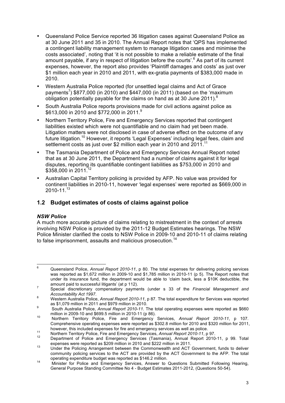- Queensland Police Service reported 36 litigation cases against Queensland Police as at 30 June 2011 and 35 in 2010. The Annual Report notes that 'QPS has implemented a contingent liability management system to manage litigation cases and minimise the costs associated', noting that 'it is not possible to make a reliable estimate of the final amount payable, if any in respect of litigation before the courts'.<sup>6</sup> As part of its current expenses, however, the report also provides 'Plaintiff damages and costs' as just over \$1 million each year in 2010 and 2011, with ex-gratia payments of \$383,000 made in 2010.
- Western Australia Police reported (for unsettled legal claims and Act of Grace payments<sup>7</sup>) \$877,000 (in 2010) and \$447,000 (in 2011) (based on the 'maximum obligation potentially payable for the claims on hand as at 30 June 2011).<sup>8</sup>
- South Australia Police reports provisions made for civil actions against police as \$613,000 in 2010 and \$772,000 in 2011.<sup>9</sup>
- Northern Territory Police, Fire and Emergency Services reported that contingent liabilities existed which were not quantifiable and no claim had yet been made. Litigation matters were not disclosed in case of adverse effect on the outcome of any future litigation.<sup>10</sup> However, it reports 'Legal Expenses' including legal fees, claim and settlement costs as just over \$2 million each year in 2010 and 2011.<sup>11</sup>
- The Tasmania Department of Police and Emergency Services Annual Report noted that as at 30 June 2011, the Department had a number of claims against it for legal disputes, reporting its quantifiable contingent liabilities as \$753,000 in 2010 and \$358,000 in 2011.<sup>12</sup>
- Australian Capital Territory policing is provided by AFP. No value was provided for continent liabilities in 2010-11, however 'legal expenses' were reported as \$669,000 in 2010-11.<sup>13</sup>

#### **1.2 Budget estimates of costs of claims against police**

#### *NSW Police*

A much more accurate picture of claims relating to mistreatment in the context of arrests involving NSW Police is provided by the 2011-12 Budget Estimates hearings. The NSW Police Minister clarified the costs to NSW Police in 2009-10 and 2010-11 of claims relating to false imprisonment, assaults and malicious prosecution.<sup>14</sup>

 <sup>6</sup> Queensland Police, *Annual Report 2010-11*, p 80. The total expenses for delivering policing services was reported as \$1,672 million in 2009-10 and \$1,785 million in 2010-11 (p 5). The Report notes that under its insurance fund, the department would be able to 'claim back, less a \$10K deductible, the

amount paid to successful litigants' (at p 112). <sup>7</sup> Special discretionary compensatory payments (under s 33 of the *Financial Management and* 

*Accountability Act 1997*. 8 Western Australia Police, *Annual Report 2010-11*, p 87. The total expenditure for Services was reported

as \$1,079 million in 2011 and \$979 million in 2010.<br>
9 South Australia Police, *Annual Report 2010-11*. The total operating expenses were reported as \$660<br>
million in 2009-10 and \$699.5 million in 2010-11 (p 86).

million in 2009-10 and \$699.6 million in 2010-11 (p 86).<br><sup>10</sup> Northern Territory Police, Fire and Emergency Services, *Annual Report 2010-11*, p 107. Comprehensive operating expenses were reported as \$302.8 million for 2010 and \$320 million for 2011,

however, this included expenses for fire and emergency services as well as police.<br>
Northern Territory Police, Fire and Emergency Services, *Annual Report 2010-11*, p 97.<br>
Department of Police and Emergency Services (Tasma

expenses were reported as \$209 million in 2010 and \$222 million in 2011. <sup>13</sup> Under the Policing Arrangement between the Commonwealth and ACT Government, funds to deliver community policing services to the ACT are provided by the ACT Government to the AFP. The total

operating expenditure budget was reported as \$146.2 million.<br><sup>14</sup> Minister for Police and Emergency Services, Answer to Questions Submitted Following Hearing, General Purpose Standing Committee No 4 - Budget Estimates 2011-2012, (Questions 50-54).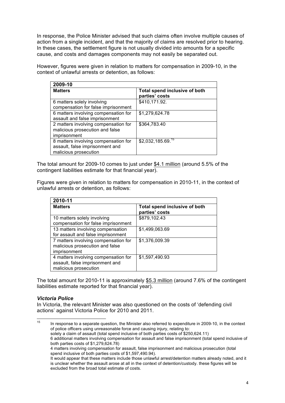In response, the Police Minister advised that such claims often involve multiple causes of action from a single incident, and that the majority of claims are resolved prior to hearing. In these cases, the settlement figure is not usually divided into amounts for a specific cause, and costs and damages components may not easily be separated out.

However, figures were given in relation to matters for compensation in 2009-10, in the context of unlawful arrests or detention, as follows:

| 2009-10                                                                                          |                                                 |
|--------------------------------------------------------------------------------------------------|-------------------------------------------------|
| <b>Matters</b>                                                                                   | Total spend inclusive of both<br>parties' costs |
| 6 matters solely involving<br>compensation for false imprisonment                                | \$410,171.92.                                   |
| 6 matters involving compensation for<br>assault and false imprisonment                           | \$1,279,624.78                                  |
| 2 matters involving compensation for<br>malicious prosecution and false<br>imprisonment          | \$364,783.40                                    |
| 8 matters involving compensation for<br>assault, false imprisonment and<br>malicious prosecution | \$2,032,185.69. <sup>15</sup>                   |

The total amount for 2009-10 comes to just under \$4.1 million (around 5.5% of the contingent liabilities estimate for that financial year).

Figures were given in relation to matters for compensation in 2010-11, in the context of unlawful arrests or detention, as follows:

| 2010-11                                                                                          |                                                 |
|--------------------------------------------------------------------------------------------------|-------------------------------------------------|
| <b>Matters</b>                                                                                   | Total spend inclusive of both<br>parties' costs |
| 10 matters solely involving<br>compensation for false imprisonment                               | \$879,102.43                                    |
| 13 matters involving compensation<br>for assault and false imprisonment                          | \$1,499,063.69                                  |
| 7 matters involving compensation for<br>malicious prosecution and false<br>imprisonment          | \$1,376,009.39                                  |
| 4 matters involving compensation for<br>assault, false imprisonment and<br>malicious prosecution | \$1,597,490.93                                  |

The total amount for 2010-11 is approximately \$5.3 million (around 7.6% of the contingent liabilities estimate reported for that financial year).

#### *Victoria Police*

In Victoria, the relevant Minister was also questioned on the costs of 'defending civil actions' against Victoria Police for 2010 and 2011.

15 In response to a separate question, the Minister also referred to expenditure in 2009-10, in the context of police officers using unreasonable force and causing injury, relating to: solely a claim of assault (total spend inclusive of both parties costs of \$250,624.11) 6 additional matters involving compensation for assault and false imprisonment (total spend inclusive of both parties costs of \$1,279,624.78) 4 matters involving compensation for assault, false imprisonment and malicious prosecution (total spend inclusive of both parties costs of \$1,597,490.94). It would appear that these matters include those unlawful arrest/detention matters already noted, and it

is unclear whether the assault arose at all in the context of detention/custody. these figures will be excluded from the broad total estimate of costs.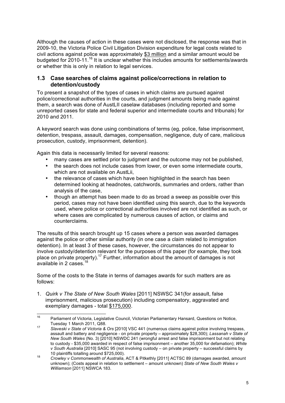Although the causes of action in these cases were not disclosed, the response was that in 2009-10, the Victoria Police Civil Litigation Division expenditure for legal costs related to civil actions against police was approximately \$3 million and a similar amount would be budgeted for 2010-11.<sup>16</sup> It is unclear whether this includes amounts for settlements/awards or whether this is only in relation to legal services.

#### **1.3 Case searches of claims against police/corrections in relation to detention/custody**

To present a snapshot of the types of cases in which claims are pursued against police/correctional authorities in the courts, and judgment amounts being made against them, a search was done of AustLII caselaw databases (including reported and some unreported cases for state and federal superior and intermediate courts and tribunals) for 2010 and 2011.

A keyword search was done using combinations of terms (eg, police, false imprisonment, detention, trespass, assault, damages, compensation, negligence, duty of care, malicious prosecution, custody, imprisonment, detention).

Again this data is necessarily limited for several reasons:

- many cases are settled prior to judgment and the outcome may not be published,
- the search does not include cases from lower, or even some intermediate courts, which are not available on AustLii.
- the relevance of cases which have been highlighted in the search has been determined looking at headnotes, catchwords, summaries and orders, rather than analysis of the case,
- though an attempt has been made to do as broad a sweep as possible over this period, cases may not have been identified using this search, due to the keywords used, where police or correctional authorities involved are not identified as such, or where cases are complicated by numerous causes of action, or claims and counterclaims.

The results of this search brought up 15 cases where a person was awarded damages against the police or other similar authority (in one case a claim related to immigration detention). In at least 3 of these cases, however, the circumstances do not appear to involve custody/detention relevant for the purposes of this paper (for example, they took place on private property).17 Further, information about the amount of damages is not available in 2 cases.<sup>18</sup>

Some of the costs to the State in terms of damages awards for such matters are as follows:

1. *Quirk v The State of New South Wales* [2011] NSWSC 341(for assault, false imprisonment, malicious prosecution) including compensatory, aggravated and exemplary damages - total \$175,000.

<sup>&</sup>lt;sup>16</sup> Parliament of Victoria, Legislative Council, Victorian Parliamentary Hansard, Questions on Notice, Tuesday 1 March 2011, Q88. <sup>17</sup> *Slaveski v State of Victoria & Ors* [2010] VSC 441 (numerous claims against police involving trespass,

assault and battery and negligence - on private property – approximately \$28,300); *Lassanah v State of New South Wales* (No. 3) [2010] NSWDC 241 (wrongful arrest and false imprisonment but not relating to custody - \$35,000 awarded in respect of false imprisonment – another 35,000 for defamation); *White v South Australia* [2010] SASC 95 (not involving custody – on private property – successful claims by

<sup>10</sup> plaintiffs totalling around \$725,000). <sup>18</sup> *Crowley v Commonwealth of Australia*, ACT & Pitkethly [2011] ACTSC 89 (damages awarded, amount unknown); (Costs appeal in relation to settlement – amount unknown) *State of New South Wales v Williamson* [2011] NSWCA 183.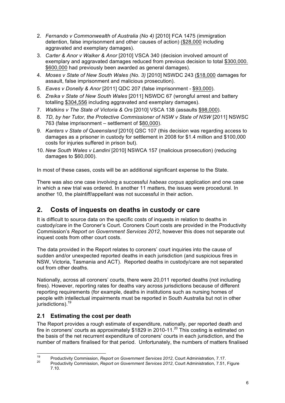- 2. *Fernando v Commonwealth of Australia (No 4)* [2010] FCA 1475 (immigration detention, false imprisonment and other causes of action) (\$28,000 including aggravated and exemplary damages).
- 3. *Carter & Anor v Walker & Anor* [2010] VSCA 340 (decision involved amount of exemplary and aggravated damages reduced from previous decision to total \$300,000. \$600,000 had previously been awarded as general damages).
- 4. *Moses v State of New South Wales (No. 3)* [2010] NSWDC 243 (\$18,000 damages for assault, false imprisonment and malicious prosecution).
- 5. *Eaves v Donelly & Anor* [2011] QDC 207 (false imprisonment \$93,000).
- 6. *Zreika v State of New South Wales* [2011] NSWDC 67 (wrongful arrest and battery totalling \$304,556 including aggravated and exemplary damages).
- 7. *Watkins v The State of Victoria & Ors* [2010] VSCA 138 (assaults \$98,000).
- 8. *TD, by her Tutor, the Protective Commissioner of NSW v State of NSW* [2011] NSWSC 763 (false imprisonment – settlement of \$80,000).
- 9. *Kanters v State of Queensland* [2010] QSC 107 (this decision was regarding access to damages as a prisoner in custody for settlement in 2008 for \$1.4 million and \$100,000 costs for injuries suffered in prison but).
- 10. *New South Wales v Landini* [2010] NSWCA 157 (malicious prosecution) (reducing damages to \$60,000).

In most of these cases, costs will be an additional significant expense to the State.

There was also one case involving a successful *habeas corpus* application and one case in which a new trial was ordered. In another 11 matters, the issues were procedural. In another 10, the plaintiff/appellant was not successful in their action.

## **2. Costs of inquests on deaths in custody or care**

It is difficult to source data on the specific costs of inquests in relation to deaths in custody/care in the Coroner's Court. Coroners Court costs are provided in the Productivity Commission's *Report on Government Services 2012*, however this does not separate out inquest costs from other court costs.

The data provided in the Report relates to coroners' court inquiries into the cause of sudden and/or unexpected reported deaths in each jurisdiction (and suspicious fires in NSW, Victoria, Tasmania and ACT). Reported deaths in custody/care are not separated out from other deaths.

Nationally, across all coroners' courts, there were 20,011 reported deaths (not including fires). However, reporting rates for deaths vary across jurisdictions because of different reporting requirements (for example, deaths in institutions such as nursing homes of people with intellectual impairments must be reported in South Australia but not in other jurisdictions).<sup>19</sup>

### **2.1 Estimating the cost per death**

The Report provides a rough estimate of expenditure, nationally, per reported death and fire in coroners' courts as approximately  $$1829$  in 2010-11.<sup>20</sup> This costing is estimated on the basis of the net recurrent expenditure of coroners' courts in each jurisdiction, and the number of matters finalised for that period. Unfortunately, the numbers of matters finalised

<sup>&</sup>lt;sup>19</sup> Productivity Commission, *Report on Government Services 2012*, Court Administration, 7.17.<br><sup>20</sup> Productivity Commission, *Report on Government Services 2012*, Court Administration, 7.51, Figure

<sup>7.10.</sup>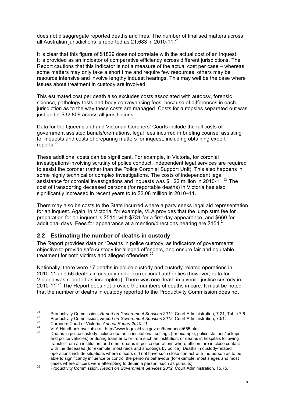does not disaggregate reported deaths and fires. The number of finalised matters across all Australian jurisdictions is reported as  $21,683$  in 2010-11.<sup>21</sup>

It is clear that this figure of \$1829 does not correlate with the actual cost of an inquest. It is provided as an indicator of comparative efficiency across different jurisdictions. The Report cautions that this indicator is not a measure of the actual cost per case – whereas some matters may only take a short time and require few resources, others may be resource intensive and involve lengthy inquest hearings. This may well be the case where issues about treatment in custody are involved.

This estimated cost per death also excludes costs associated with autopsy, forensic science, pathology tests and body conveyancing fees, because of differences in each jurisdiction as to the way these costs are managed. Costs for autopsies separated out was just under \$32,809 across all jurisdictions.

Data for the Queensland and Victorian Coroners' Courts include the full costs of government assisted burials/cremations, legal fees incurred in briefing counsel assisting for inquests and costs of preparing matters for inquest, including obtaining expert reports.<sup>22</sup>

These additional costs can be significant. For example, in Victoria, for coronial investigations involving scrutiny of police conduct, independent legal services are required to assist the coroner (rather than the Police Coronial Support Unit). This also happens in some highly technical or complex investigations. The costs of independent legal assistance for coronial investigations and inquests was \$1.22 million in 2010-11. $^{23}$  The cost of transporting deceased persons (for reportable deaths) in Victoria has also significantly increased in recent years to to \$2.08 million in 2010–11.

There may also be costs to the State incurred where a party seeks legal aid representation for an inquest. Again, in Victoria, for example, VLA provides that the lump sum fee for preparation for an inquest is \$511, with \$731 for a first day appearance, and \$660 for additional days. Fees for appearance at a mention/directions hearing are  $$154.<sup>24</sup>$ 

#### **2.2 Estimating the number of deaths in custody**

The Report provides data on 'Deaths in police custody' as indicators of governments' objective to provide safe custody for alleged offenders, and ensure fair and equitable treatment for both victims and alleged offenders.<sup>25</sup>

Nationally, there were 17 deaths in police custody and custody-related operations in 2010-11 and 56 deaths in custody under correctional authorities (however, data for Victoria was reported as incomplete). There was one death in juvenile justice custody in 2010-11.<sup>26</sup> The Report does not provide the numbers of deaths in care. It must be noted that the number of deaths in custody reported to the Productivity Commission does not

Productivity Commission, Report on Government Services 2012, Court Administration, 7.21, Table 7.6.<br>
Productivity Commission, Report on Government Services 2012, Court Administration, 7.51.<br>
Coroners Court of Victoria, An

and police vehicles) or during transfer to or from such an institution; or deaths in hospitals following transfer from an institution; and other deaths in police operations where officers are in close contact with the deceased (for example, most raids and shootings by police). Deaths in custody-related operations include situations where officers did not have such close contact with the person as to be able to significantly influence or control the person's behaviour (for example, most sieges and most cases where officers were attempting to detain a person, such as pursuits).

cases where officers were attempting to detain a person, such as pursuits). <sup>26</sup> Productivity Commission, *Report on Government Services 2012*, Court Administration, 15.75.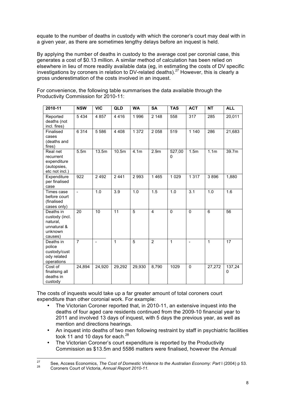equate to the number of deaths in custody with which the coroner's court may deal with in a given year, as there are sometimes lengthy delays before an inquest is held.

By applying the number of deaths in custody to the average cost per coronial case, this generates a cost of \$0.13 million. A similar method of calculation has been relied on elsewhere in lieu of more readily available data (eg, in estimating the costs of DV specific investigations by coroners in relation to DV-related deaths).<sup>27</sup> However, this is clearly a gross underestimation of the costs involved in an inquest.

| 2010-11                                                                      | <b>NSW</b>       | <b>VIC</b> | QLD     | WA               | <b>SA</b>               | <b>TAS</b>   | <b>ACT</b>               | <b>NT</b>        | <b>ALL</b>  |
|------------------------------------------------------------------------------|------------------|------------|---------|------------------|-------------------------|--------------|--------------------------|------------------|-------------|
| Reported<br>deaths (not<br>incl. fires)                                      | 5434             | 4 8 5 7    | 4416    | 1996             | 2 1 4 8                 | 558          | 317                      | 285              | 20,011      |
| Finalised<br>cases<br>(deaths and<br>fires)                                  | 6 3 1 4          | 5586       | 4 4 0 8 | 1 372            | 2 0 5 8                 | 519          | 1 1 4 0                  | 286              | 21,683      |
| Real net<br>recurrent<br>expenditure<br>(autopsies,<br>etc not incl.)        | 5.5 <sub>m</sub> | 13.5m      | 10.5m   | 4.1 <sub>m</sub> | 2.9 <sub>m</sub>        | 527,00<br>0  | 1.5m                     | 1.1 <sub>m</sub> | 39.7m       |
| Expenditure<br>per finalised<br>case                                         | 922              | 2 4 9 2    | 2441    | 2993             | 1 4 6 5                 | 1 0 2 9      | 1317                     | 3896             | 1,880       |
| Times case<br>before court<br>(finalised<br>cases only)                      | $\blacksquare$   | 1.0        | 3.9     | 1.0              | 1.5                     | 1.0          | $\overline{3.1}$         | 1.0              | 1.6         |
| Deaths in<br>custody (incl.<br>natural,<br>unnatural &<br>unknown<br>causes) | 20               | 10         | 11      | 5                | $\overline{\mathbf{4}}$ | $\Omega$     | $\mathbf 0$              | 6                | 56          |
| Deaths in<br>police<br>custody/cust<br>ody related<br>operations             | $\overline{7}$   | ÷,         | 1       | $\overline{5}$   | $\overline{2}$          | $\mathbf{1}$ | $\overline{\phantom{a}}$ | $\mathbf{1}$     | 17          |
| Cost of<br>finalising all<br>deaths in<br>custody                            | 24,894           | 24,920     | 29,292  | 29,930           | 8,790                   | 1029         | 0                        | 27,272           | 137,24<br>0 |

For convenience, the following table summarises the data available through the Productivity Commission for 2010-11:

The costs of inquests would take up a far greater amount of total coroners court expenditure than other coronial work. For example:

- The Victorian Coroner reported that, in 2010-11, an extensive inquest into the deaths of four aged care residents continued from the 2009-10 financial year to 2011 and involved 13 days of inquest, with 5 days the previous year, as well as mention and directions hearings.
- An inquest into deaths of two men following restraint by staff in psychiatric facilities took 11 and 10 days for each. $^{28}$
- The Victorian Coroner's court expenditure is reported by the Productivity Commission as \$13.5m and 5586 matters were finalised, however the Annual

<sup>&</sup>lt;sup>27</sup> See, Access Economics, *The Cost of Domestic Violence to the Australian Economy: Part* I (2004) p 53.<br><sup>28</sup> Coroners Court of Victoria, *Annual Report 2010-11.*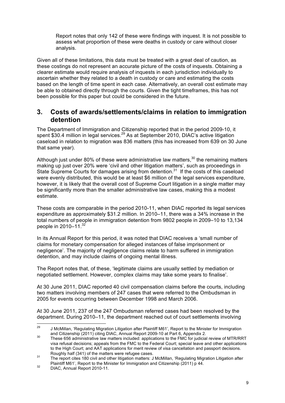Report notes that only 142 of these were findings with inquest. It is not possible to assess what proportion of these were deaths in custody or care without closer analysis.

Given all of these limitations, this data must be treated with a great deal of caution, as these costings do not represent an accurate picture of the costs of inquests. Obtaining a clearer estimate would require analysis of inquests in each jurisdiction individually to ascertain whether they related to a death in custody or care and estimating the costs based on the length of time spent in each case. Alternatively, an overall cost estimate may be able to obtained directly through the courts. Given the tight timeframes, this has not been possible for this paper but could be considered in the future.

### **3. Costs of awards/settlements/claims in relation to immigration detention**

The Department of Immigration and Citizenship reported that in the period 2009-10, it spent \$30.4 million in legal services.<sup>29</sup> As at September 2010, DIAC's active litigation caseload in relation to migration was 836 matters (this has increased from 639 on 30 June that same year).

Although just under 80% of these were administrative law matters, $30$  the remaining matters making up just over 20% were 'civil and other litigation matters', such as proceedings in State Supreme Courts for damages arising from detention.<sup>31</sup> If the costs of this caseload were evenly distributed, this would be at least \$6 million of the legal services expenditure, however, it is likely that the overall cost of Supreme Court litigation in a single matter may be significantly more than the smaller administrative law cases, making this a modest estimate.

These costs are comparable in the period 2010-11, when DIAC reported its legal services expenditure as approximately \$31.2 million. In 2010–11, there was a 34% increase in the total numbers of people in immigration detention from 9802 people in 2009–10 to 13,134 people in  $2010-11.^{32}$ 

In its Annual Report for this period, it was noted that DIAC receives a 'small number of claims for monetary compensation for alleged instances of false imprisonment or negligence'. The majority of negligence claims relate to harm suffered in immigration detention, and may include claims of ongoing mental illness.

The Report notes that, of these, 'legitimate claims are usually settled by mediation or negotiated settlement. However, complex claims may take some years to finalise'.

At 30 June 2011, DIAC reported 40 civil compensation claims before the courts, including two matters involving members of 247 cases that were referred to the Ombudsman in 2005 for events occurring between December 1998 and March 2006.

At 30 June 2011, 237 of the 247 Ombudsman referred cases had been resolved by the department. During 2010–11, the department reached out of court settlements involving

<sup>&</sup>lt;sup>29</sup> J McMillan, 'Regulating Migration Litigation after Plaintiff M61', Report to the Minister for Immigration and Citizenship (2011) citing DIAC, Annual Report 2009-10 at Part 6, Appendix 2.

and Citizenship (2011) citing DIAC, Annual Report 2009-10 at Part 6, Appendix 2.<br>These 656 administrative law matters included: applications to the FMC for judicial review of MTR/RRT visa refusal decisions; appeals from the FMC to the Federal Court; special leave and other applications to the High Court; and AAT applications for merit review of visa cancellation and passport decisions.<br>Roughly half (341) of the matters were refugee cases.

Roughly half (341) of the matters were refugee cases.<br>The report cites 180 civil and other litigation matters: J McMillan, 'Regulating Migration Litigation after Plaintiff M61', Report to the Minister for Immigration and Citizenship (2011) p 44.<br>DIAC, Annual Report 2010-11.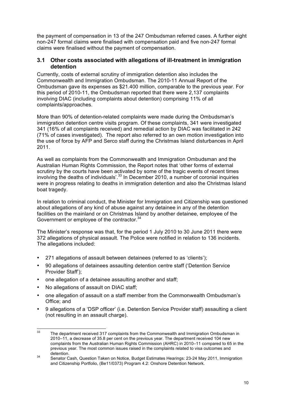the payment of compensation in 13 of the 247 Ombudsman referred cases. A further eight non-247 formal claims were finalised with compensation paid and five non-247 formal claims were finalised without the payment of compensation.

#### **3.1 Other costs associated with allegations of ill-treatment in immigration detention**

Currently, costs of external scrutiny of immigration detention also includes the Commonwealth and Immigration Ombudsman. The 2010-11 Annual Report of the Ombudsman gave its expenses as \$21.400 million, comparable to the previous year. For this period of 2010-11, the Ombudsman reported that there were 2,137 complaints involving DIAC (including complaints about detention) comprising 11% of all complaints/approaches.

More than 90% of detention-related complaints were made during the Ombudsman's immigration detention centre visits program. Of these complaints, 341 were investigated 341 (16% of all complaints received) and remedial action by DIAC was facilitated in 242 (71% of cases investigated). The report also referred to an own motion investigation into the use of force by AFP and Serco staff during the Christmas Island disturbances in April 2011.

As well as complaints from the Commonwealth and Immigration Ombudsman and the Australian Human Rights Commission, the Report notes that 'other forms of external scrutiny by the courts have been activated by some of the tragic events of recent times involving the deaths of individuals'.<sup>33</sup> In December 2010, a number of coronial inquiries were in progress relating to deaths in immigration detention and also the Christmas Island boat tragedy.

In relation to criminal conduct, the Minister for Immigration and Citizenship was questioned about allegations of any kind of abuse against any detainee in any of the detention facilities on the mainland or on Christmas Island by another detainee, employee of the Government or employee of the contractor.<sup>34</sup>

The Minister's response was that, for the period 1 July 2010 to 30 June 2011 there were 372 allegations of physical assault. The Police were notified in relation to 136 incidents. The allegations included:

- 271 allegations of assault between detainees (referred to as 'clients');
- 90 allegations of detainees assaulting detention centre staff ('Detention Service Provider Staff');
- one allegation of a detainee assaulting another and staff;
- No allegations of assault on DIAC staff;
- one allegation of assault on a staff member from the Commonwealth Ombudsman's Office; and
- 9 allegations of a 'DSP officer' (i.e. Detention Service Provider staff) assaulting a client (not resulting in an assault charge).

 $33$  The department received 317 complaints from the Commonwealth and Immigration Ombudsman in 2010–11, a decrease of 35.8 per cent on the previous year. The department received 104 new complaints from the Australian Human Rights Commission (AHRC) in 2010–11 compared to 65 in the previous year. The most common issues raised in the complaints related to visa outcomes and detention.<br><sup>34</sup> Senator Cash, Question Taken on Notice, Budget Estimates Hearings: 23-24 May 2011, Immigration

and Citizenship Portfolio, (Be11/0373) Program 4.2: Onshore Detention Network.